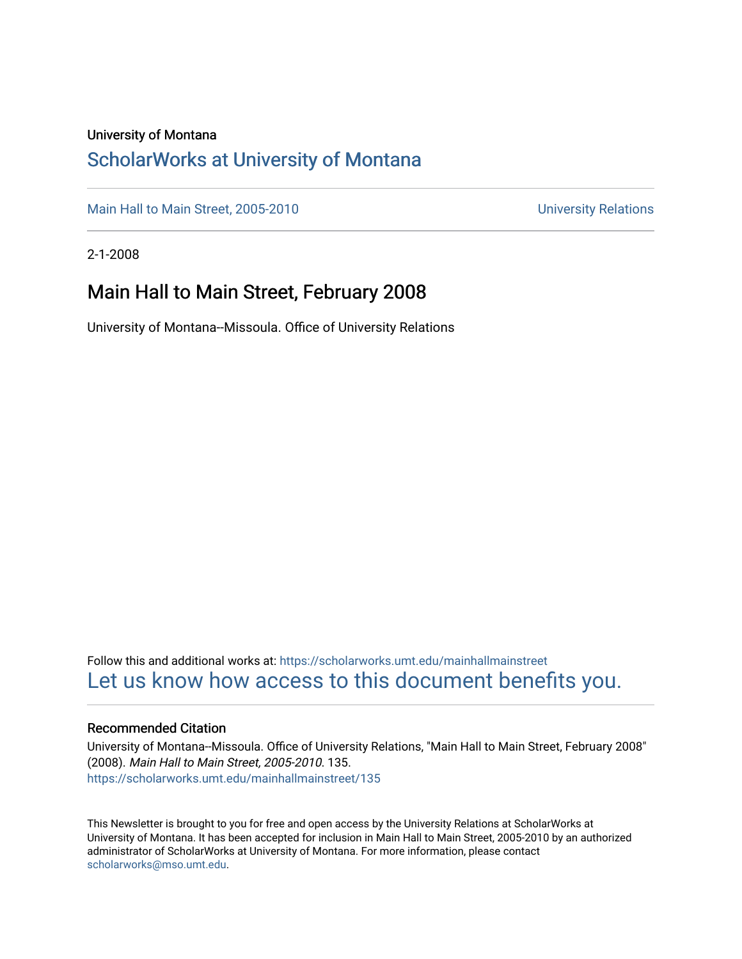### University of Montana

### [ScholarWorks at University of Montana](https://scholarworks.umt.edu/)

[Main Hall to Main Street, 2005-2010](https://scholarworks.umt.edu/mainhallmainstreet) Main Hall to Main Street, 2005-2010

2-1-2008

### Main Hall to Main Street, February 2008

University of Montana--Missoula. Office of University Relations

Follow this and additional works at: [https://scholarworks.umt.edu/mainhallmainstreet](https://scholarworks.umt.edu/mainhallmainstreet?utm_source=scholarworks.umt.edu%2Fmainhallmainstreet%2F135&utm_medium=PDF&utm_campaign=PDFCoverPages) [Let us know how access to this document benefits you.](https://goo.gl/forms/s2rGfXOLzz71qgsB2) 

### Recommended Citation

University of Montana--Missoula. Office of University Relations, "Main Hall to Main Street, February 2008" (2008). Main Hall to Main Street, 2005-2010. 135. [https://scholarworks.umt.edu/mainhallmainstreet/135](https://scholarworks.umt.edu/mainhallmainstreet/135?utm_source=scholarworks.umt.edu%2Fmainhallmainstreet%2F135&utm_medium=PDF&utm_campaign=PDFCoverPages)

This Newsletter is brought to you for free and open access by the University Relations at ScholarWorks at University of Montana. It has been accepted for inclusion in Main Hall to Main Street, 2005-2010 by an authorized administrator of ScholarWorks at University of Montana. For more information, please contact [scholarworks@mso.umt.edu.](mailto:scholarworks@mso.umt.edu)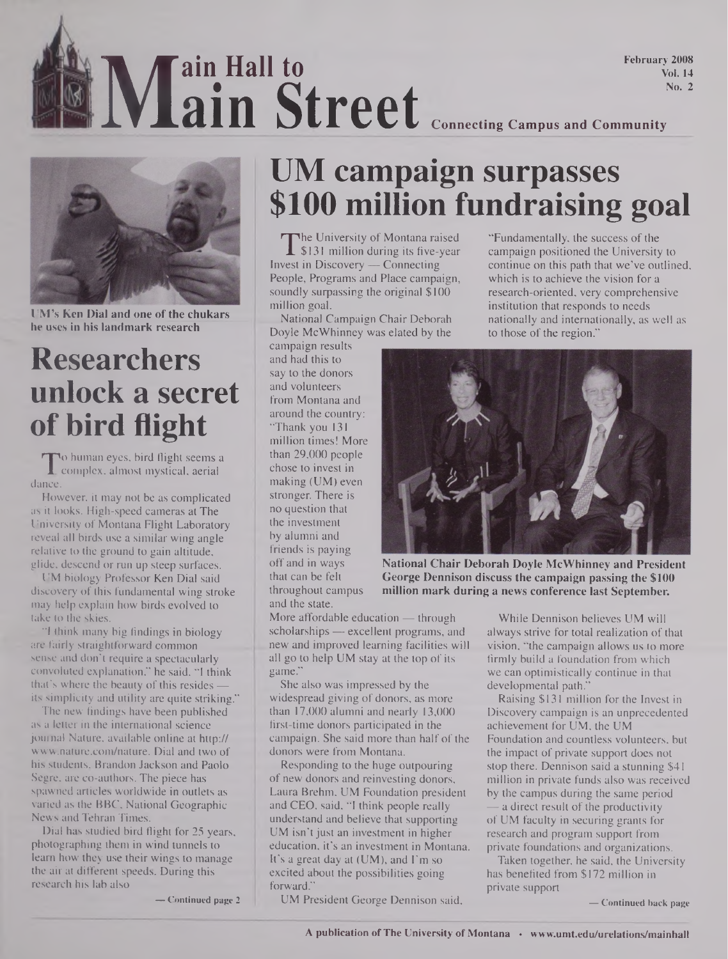**Main Street** Connecting Campus and Community **ain Hall to ain Street** February 2008 Vol. 14 No. 2



**UM's Ken Dial and one of the chukars he uses in his landmark research**

# **Researchers unlock a secret of bird flight**

dance o human eyes, bird flight seems a complex, almost mystical, aerial

However, it may not be as complicated as it looks. High-speed cameras at The University of Montana Flight Laboratory reveal all birds use a similar wing angle relative to the ground to gain altitude, glide, descend or run up steep surfaces.

UM biology Professor Ken Dial said discovery of this fundamental wing stroke may help explain how birds evolved to take to the skies.

"I think many big findings in biology are fairly straightforward common sense and don't require a spectacularly convoluted explanation," he said. "I think that's where the beauty of this resides its simplicity and utility are quite striking."

The new findings have been published as a letter in the international science journal Nature, available online at http:// [www.nature.com/nature](http://www.nature.com/nature). Dial and two of his students, Brandon Jackson and Paolo Segre, are co-authors. The piece has spawned articles worldwide in outlets as varied as the BBC, National Geographic News and Tehran Times.

Dial has studied bird flight for 25 years, photographing them in wind tunnels to learn how they use their wings to manage the air at different speeds. During this research his lab also

**— Continued page 2**

# **UM campaign surpasses \$100 million fundraising goal**

 $\prod_{\text{vest}}$ The University of Montana raised \$131 million during its five-year Invest in Discovery — Connecting People, Programs and Place campaign, soundly surpassing the original \$100 million goal.

National Campaign.Chair Deborah Doyle McWhinney was elated by the

campaign results and had this to say to the donors and volunteers from Montana and around the country: "Thank you 131 million times! More than 29,000 people chose to invest in making (UM) even stronger. There is no question that the investment by alumni and friends is paying off and in ways that can be felt throughout campus and the state.

More affordable education — through scholarships — excellent programs, and new and improved learning facilities will all go to help UM stay at the top of its game."

She also was impressed by the widespread giving of donors, as more than 17,000 alumni and nearly 13,000 first-time donors participated in the campaign. She said more than half of the donors were from Montana.

Responding to the huge outpouring of new donors and reinvesting donors, Laura Brehm, UM Foundation president and CEO, said, "I think people really understand and believe that supporting UM isn't just an investment in higher education, it's an investment in Montana. It's a great day at  $(UM)$ , and  $\Gamma$ m so excited about the possibilities going forward."

UM President George Dennison said,

"Fundamentally, the success of the campaign positioned the University to continue on this path that we've outlined, which is to achieve the vision for a research-oriented, very comprehensive institution that responds to needs nationally and internationally, as well as to those of the region."



**National Chair Deborah Doyle McWhinney and President George Dennison discuss the campaign passing the \$100 million mark during a news conference last September.**

While Dennison believes UM will always strive for total realization of that vision, "the campaign allows us to more firmly build a foundation from which we can optimistically continue in that developmental path."

Raising \$131 million for the Invest in Discovery campaign is an unprecedented achievement for UM, the UM Foundation and countless volunteers, but the impact of private support does not stop there. Dennison said a stunning \$41 million in private funds also was received by the campus during the same period — a direct result of the productivity of UM faculty in securing grants for research and program support from private foundations and organizations.

Taken together, he said, the University has benefited from \$172 million in private support

**— Continued back page**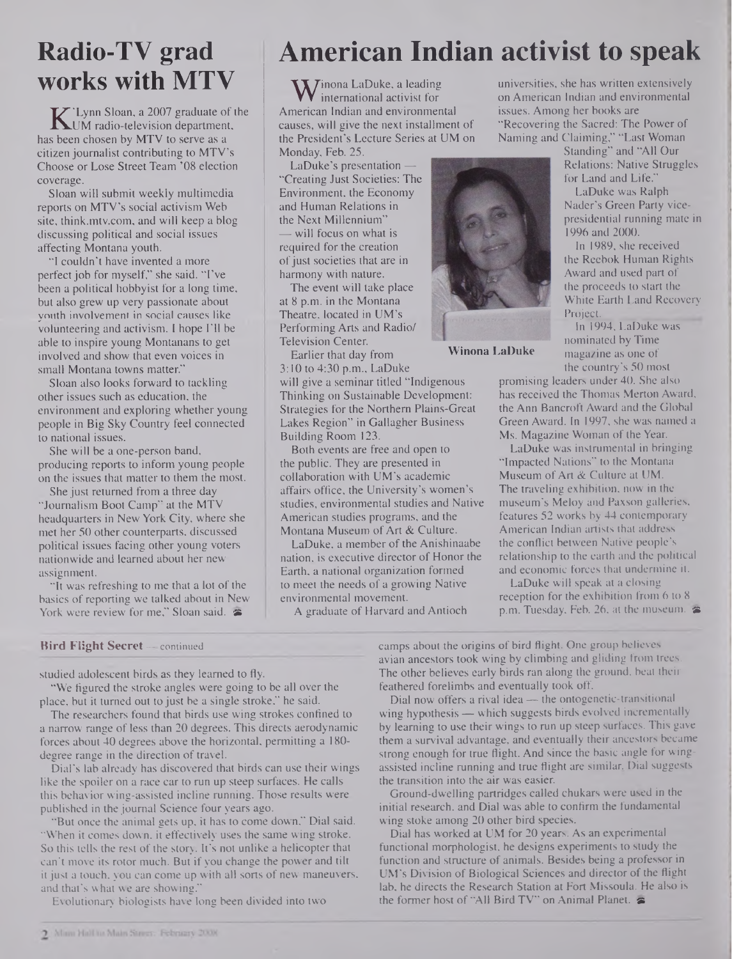## **Radio-TV grad works with MTV**

**K** 'Lynn Sloan, a 2007 graduate of the<br>UM radio-television department,<br>s been chosen by MTV to serve as a UM radio-television department, has been chosen by MTV to serve as a citizen journalist contributing to MTV's Choose or Lose Street Team '08 election coverage.

Sloan will submit weekly multimedia reports on MTV's social activism Web site, <think.mtv.com>, and will keep a blog discussing political and social issues affecting Montana youth.

"I couldn't have invented a more perfect job for myself," she said. "I've been a political hobbyist for a long time, but also grew up very passionate about youth involvement in social causes like volunteering and activism. I hope I'll be able to inspire young Montanans to get involved and show that even voices in small Montana towns matter."

Sloan also looks forward to tackling other issues such as education, the environment and exploring whether young people in Big Sky Country feel connected to national issues.

She will be a one-person band, producing reports to inform young people on the issues that matter to them the most.

She just returned from a three day "Journalism Boot Camp" at the MTV headquarters in New York City, where she met her 50 other counterparts, discussed political issues facing other young voters nationwide and learned about her new assignment.

"It was refreshing to me that a lot of the basics of reporting we talked about in New York were review for me," Sloan said.  $\approx$ 

#### **Bird Flight Secret— continued**

studied adolescent birds as they learned to fly.

"We figured the stroke angles were going to be all over the place, but it turned out to just be a single stroke," he said.

The researchers found that birds use wing strokes confined to a narrow range of less than 20 degrees. This directs aerodynamic forces about 40 degrees above the horizontal, permitting a 180 degree range in the direction of travel.

Dial's lab already has discovered that birds can use their wings like the spoiler on a race car to run up steep surfaces. He calls this behavior wing-assisted incline running. Those results were published in the journal Science four years ago.

"But once the animal gets up, it has to come down," Dial said. "When it comes down, it effectively uses the same wing stroke. So this tells the rest of the story. It's not unlike a helicopter that can't move its rotor much. But if you change the power and tilt it just a touch, you can come up with all sorts of new maneuvers, and that's what we are showing."

Evolutionary biologists have long been divided into two

# **American Indian activist to speak**

**W** international activist for<br>merican Indian and environmer international activist for American Indian and environmental causes, will give the next installment of the President's Lecture Series at UM on Monday, Feb. 25.

LaDuke's presentation — "Creating Just Societies: The Environment, the Economy and Human Relations in the Next Millennium" — will focus on what is required for the creation of just societies that are in harmony with nature.

The event will take place at 8 p.m. in the Montana Theatre, located in UM's Performing Arts and Radio/ Television Center.

Earlier that day from 3:10 to 4:30 p.m., LaDuke

will give a seminar titled "Indigenous Thinking on Sustainable Development: Strategies for the Northern Plains-Great Lakes Region" in Gallagher Business Building Room 123.

Both events are free and open to the public. They are presented in collaboration with UM's academic affairs office, the University's women's studies, environmental studies and Native American studies programs, and the Montana Museum of Art & Culture.

LaDuke, a member of the Anishinaabe nation, is executive director of Honor the Earth, a national organization formed to meet the needs of a growing Native environmental movement.

A graduate of Harvard and Antioch

universities, she has written extensively on American Indian and environmental issues. Among her books are "Recovering the Sacred: The Power of Naming and Claiming," "Last Woman

Standing" and "All Our Relations: Native Struggles for Land and Life."

LaDuke was Ralph Nader's Green Party vicepresidential running mate in 1996 and 2000.

In 1989, she received the Reebok Human Rights Award and used part of the proceeds to start the White Earth Land Recovery Project.

In 1994, LaDuke was nominated by Time magazine as one of the country's 50 most

promising leaders under 40. She also has received the Thomas Merton Award, the Ann Bancroft Award and the Global Green Award. In 1997, she was named a Ms. Magazine Woman of the Year.

LaDuke was instrumental in bringing "Impacted Nations" to the Montana Museum of Art & Culture at UM. The traveling exhibition, now in the museum's Meloy and Paxson galleries, features 52 works by 44 contemporary American Indian artists that address the conflict between Native people's relationship to the earth and the political and economic forces that undermine it.

LaDuke will speak at a closing reception for the exhibition from 6 to 8 p.m. Tuesday, Feb. 26, at the museum.  $\blacktriangleright$ 

camps about the origins of bird flight. One group believes avian ancestors took wing by climbing and gliding from trees. The other believes early birds ran along the ground, beat their feathered forelimbs and eventually took off.

Dial now offers a rival idea — the ontogenetic-transitional wing hypothesis — which suggests birds evolved incrementally by learning to use their wings to run up steep surfaces. This gave them a survival advantage, and eventually their ancestors became strong enough for true flight. And since the basic angle for wingassisted incline running and true flight are similar, Dial suggests the transition into the air was easier.

Ground-dwelling partridges called chukars were used in the initial research, and Dial was able to confirm the fundamental wing stoke among 20 other bird species.

Dial has worked at UM for 20 years. As an experimental functional morphologist, he designs experiments to study the function and structure of animals. Besides being a professor in UM's Division of Biological Sciences and director of the flight lab, he directs the Research Station at Fort Missoula. He also is the former host of "All Bird TV" on Animal Planet, **as**



**Winona LaDuke**

2 Main Hall in Main Street: February 2008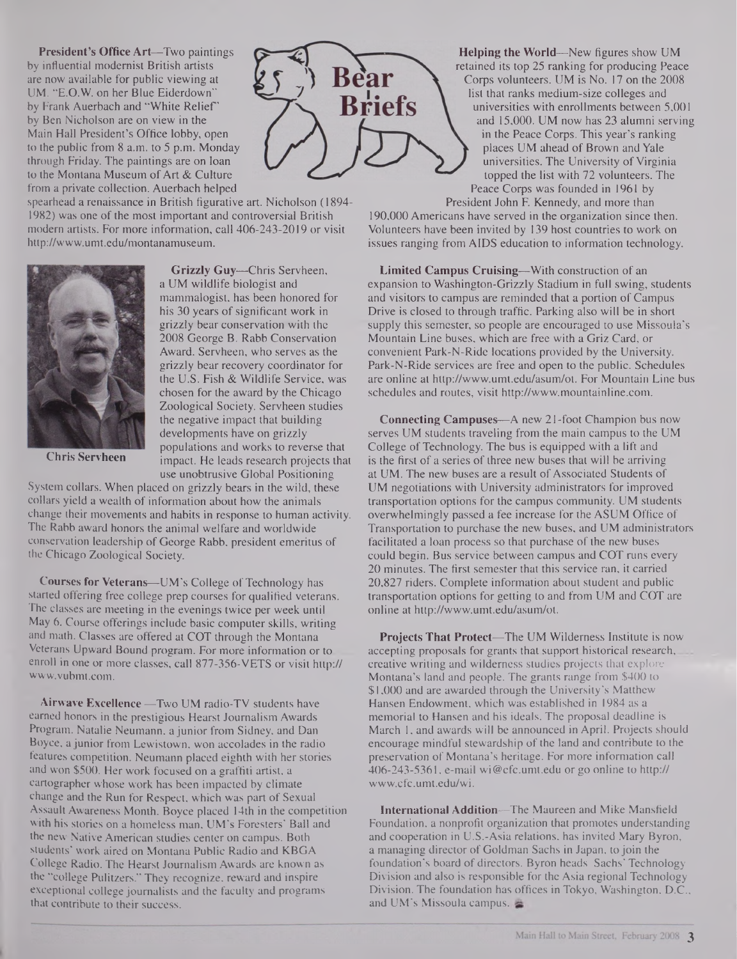**President's Office Art—Two paintings by influential modernist British artists are now available for public viewing at UM. "E.O.W. on her Blue Eiderdown" by Frank Auerbach and "White Relief'** by Ben Nicholson are on view in **the Main Hall President's Office lobby, open to the public from 8 a.m. to 5 p.m. Monday through Friday. The paintings are on loan** to the Montana Museum of Art & Culture from a private collection. Auerbach helped

spearhead a renaissance in British figurative art. Nicholson (1894- 1982) was one of the most important and controversial British modem artists. For more information, call 406-243-2019 or visit <http://www.umt.edu/montanamuseum>.



**Chris Servheen**

**Grizzly Guy—Chris Servheen,** a UM wildlife biologist and **mammalogist,** has been honored for his 30 years of significant work in grizzly bear conservation with the 2008 George B. Rabb Conservation Award. Servheen, who serves as the grizzly bear recovery coordinator for the U.S. Fish & Wildlife Service, was chosen for the award by the Chicago Zoological Society. Servheen studies the negative impact that building developments have on grizzly populations and works to reverse that impact. He leads research projects that use unobtrusive Global Positioning

System collars. When placed on grizzly bears in the wild, these collars yield a wealth of information about how the animals change their movements and habits in response to human activity. The Rabb award honors the animal welfare and worldwide conservation leadership of George Rabb, president emeritus of the Chicago Zoological Society.

**Courses for Veterans—UM's College of Technology has** started offering free college prep courses for qualified veterans. The classes are meeting in the evenings twice per week until May 6. Course offerings include basic computer skills, writing and math. Classes are offered at COT through the Montana Veterans Upward Bound program. For more information or to enroll in one or more classes, call 877-356-VETS or visit http:// [www.vubmt.com](http://www.vubmt.com).

**Airwave Excellence —**Two UM radio-TV students have earned honors in the prestigious Hearst Journalism Awards Program. Natalie Neumann, a junior from Sidney, and Dan Boyce, a junior from Lewistown, won accolades in the radio features competition. Neumann placed eighth with her stories and won \$500. Her work focused on a graffiti artist, a cartographer whose work has been impacted by climate change and the Run for Respect, which was part of Sexual Assault Awareness Month. Boyce placed 14th in the competition with his stories on a homeless man, UM's Foresters' Ball and the new Native American studies center on campus. Both students' work aired on Montana Public Radio and KBGA College Radio. The Hearst Journalism Awards are known as the "college Pulitzers." They recognize, reward and inspire exceptional college journalists and the faculty and programs that contribute to their success.



President John F. Kennedy, and more than 190,000 Americans have served in the organization since then. Volunteers have been invited by 139 host countries to work on issues ranging from AIDS education to information technology.

**Briefs** 

**Limited Campus Cruising—**With construction of an expansion to Washington-Grizzly Stadium in full swing, students and visitors to campus are reminded that a portion of Campus Drive is closed to through traffic. Parking also will be in short supply this semester, so people are encouraged to use Missoula's Mountain Line buses, which are free with a Griz Card, or convenient Park-N-Ride locations provided by the University. Park-N-Ride services are free and open to the public. Schedules are online at <http://www.umt.edu/asum/ot>. For Mountain Line bus schedules and routes, visit <http://www.mountainline.com>.

**Connecting Campuses—**A new 21-foot Champion bus now serves UM students traveling from the main campus to the UM College of Technology. The bus is equipped with a lift and is the first of a series of three new buses that will be arriving at UM. The new buses are a result of Associated Students of UM negotiations with University administrators for improved transportation options for the campus community. UM students overwhelmingly passed a fee increase for the ASUM Office of Transportation to purchase the new buses, and UM administrators facilitated a loan process so that purchase of the new buses could begin. Bus service between campus and COT runs every 20 minutes. The first semester that this service ran, it carried 20,827 riders. Complete information about student and public transportation options for getting to and from UM and COT are online at <http://www.umt.edu/asum/ot>.

**Projects That Protect—**The UM Wilderness Institute is now accepting proposals for grants that support historical research, creative writing and wilderness studies projects that explore Montana's land and people. The grants range from \$400 to \$1,000 and are awarded through the University's Matthew Hansen Endowment, which was established in 1984 as a memorial to Hansen and his ideals. The proposal deadline is March 1, and awards will be announced in April. Projects should encourage mindful stewardship of the land and contribute to the preservation of Montana's heritage. For more information call 406-243-5361, e-mail [wi@cfc.umt.edu](mailto:wi@cfc.umt.edu) or go online to http:// [www.cfc.umt.edu/wi](http://www.cfc.umt.edu/wi).

**International Addition—**The Maureen and Mike Mansfield Foundation, a nonprofit organization that promotes understanding and cooperation in **U.S.-Asia** relations, has invited Mary Byron, a managing director of Goldman Sachs in Japan, to join the foundation's board of directors. Byron heads Sachs' Technology Division and also is responsible for the Asia regional Technology Division. The foundation has offices in Tokyo, Washington, **D.C.,** and UM's Missoula campus.